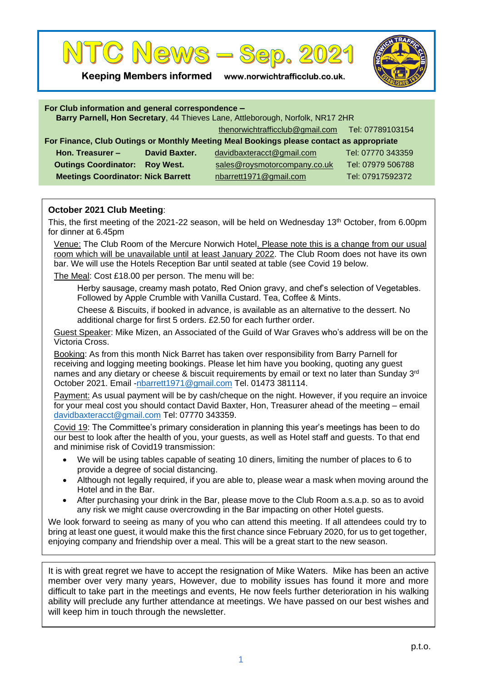

**Keeping Members informed www.norwichtrafficclub.co.uk.**



| For Club information and general correspondence -<br>Barry Parnell, Hon Secretary, 44 Thieves Lane, Attleborough, Norfolk, NR17 2HR |                  |                                                  |                   |
|-------------------------------------------------------------------------------------------------------------------------------------|------------------|--------------------------------------------------|-------------------|
|                                                                                                                                     |                  | thenorwichtrafficclub@gmail.com Tel: 07789103154 |                   |
| For Finance, Club Outings or Monthly Meeting Meal Bookings please contact as appropriate                                            |                  |                                                  |                   |
| Hon. Treasurer -                                                                                                                    | David Baxter.    | davidbaxteracct@gmail.com                        | Tel: 07770 343359 |
| <b>Outings Coordinator:</b>                                                                                                         | <b>Roy West.</b> | sales@roysmotorcompany.co.uk                     | Tel: 07979 506788 |
| <b>Meetings Coordinator: Nick Barrett</b>                                                                                           |                  | nbarrett1971@gmail.com                           | Tel: 07917592372  |

## **October 2021 Club Meeting**:

This, the first meeting of the 2021-22 season, will be held on Wednesday 13<sup>th</sup> October, from 6.00pm for dinner at 6.45pm

Venue: The Club Room of the Mercure Norwich Hotel. Please note this is a change from our usual room which will be unavailable until at least January 2022. The Club Room does not have its own bar. We will use the Hotels Reception Bar until seated at table (see Covid 19 below.

The Meal: Cost £18.00 per person. The menu will be:

Herby sausage, creamy mash potato, Red Onion gravy, and chef's selection of Vegetables. Followed by Apple Crumble with Vanilla Custard. Tea, Coffee & Mints.

Cheese & Biscuits, if booked in advance, is available as an alternative to the dessert. No additional charge for first 5 orders. £2.50 for each further order.

Guest Speaker: Mike Mizen, an Associated of the Guild of War Graves who's address will be on the Victoria Cross.

Booking: As from this month Nick Barret has taken over responsibility from Barry Parnell for receiving and logging meeting bookings. Please let him have you booking, quoting any guest names and any dietary or cheese & biscuit requirements by email or text no later than Sunday 3rd October 2021. Email [-nbarrett1971@gmail.com](mailto:nbarrett1971@gmail.com) Tel. 01473 381114.

Payment: As usual payment will be by cash/cheque on the night. However, if you require an invoice for your meal cost you should contact David Baxter, Hon, Treasurer ahead of the meeting – email [davidbaxteracct@gmail.com](mailto:davidbaxteracct@gmail.com) Tel: 07770 343359.

Covid 19: The Committee's primary consideration in planning this year's meetings has been to do our best to look after the health of you, your guests, as well as Hotel staff and guests. To that end and minimise risk of Covid19 transmission:

- We will be using tables capable of seating 10 diners, limiting the number of places to 6 to provide a degree of social distancing.
- Although not legally required, if you are able to, please wear a mask when moving around the Hotel and in the Bar.
- After purchasing your drink in the Bar, please move to the Club Room a.s.a.p. so as to avoid any risk we might cause overcrowding in the Bar impacting on other Hotel guests.

We look forward to seeing as many of you who can attend this meeting. If all attendees could try to bring at least one guest, it would make this the first chance since February 2020, for us to get together, enjoying company and friendship over a meal. This will be a great start to the new season.

It is with great regret we have to accept the resignation of Mike Waters. Mike has been an active member over very many years, However, due to mobility issues has found it more and more difficult to take part in the meetings and events, He now feels further deterioration in his walking ability will preclude any further attendance at meetings. We have passed on our best wishes and will keep him in touch through the newsletter.